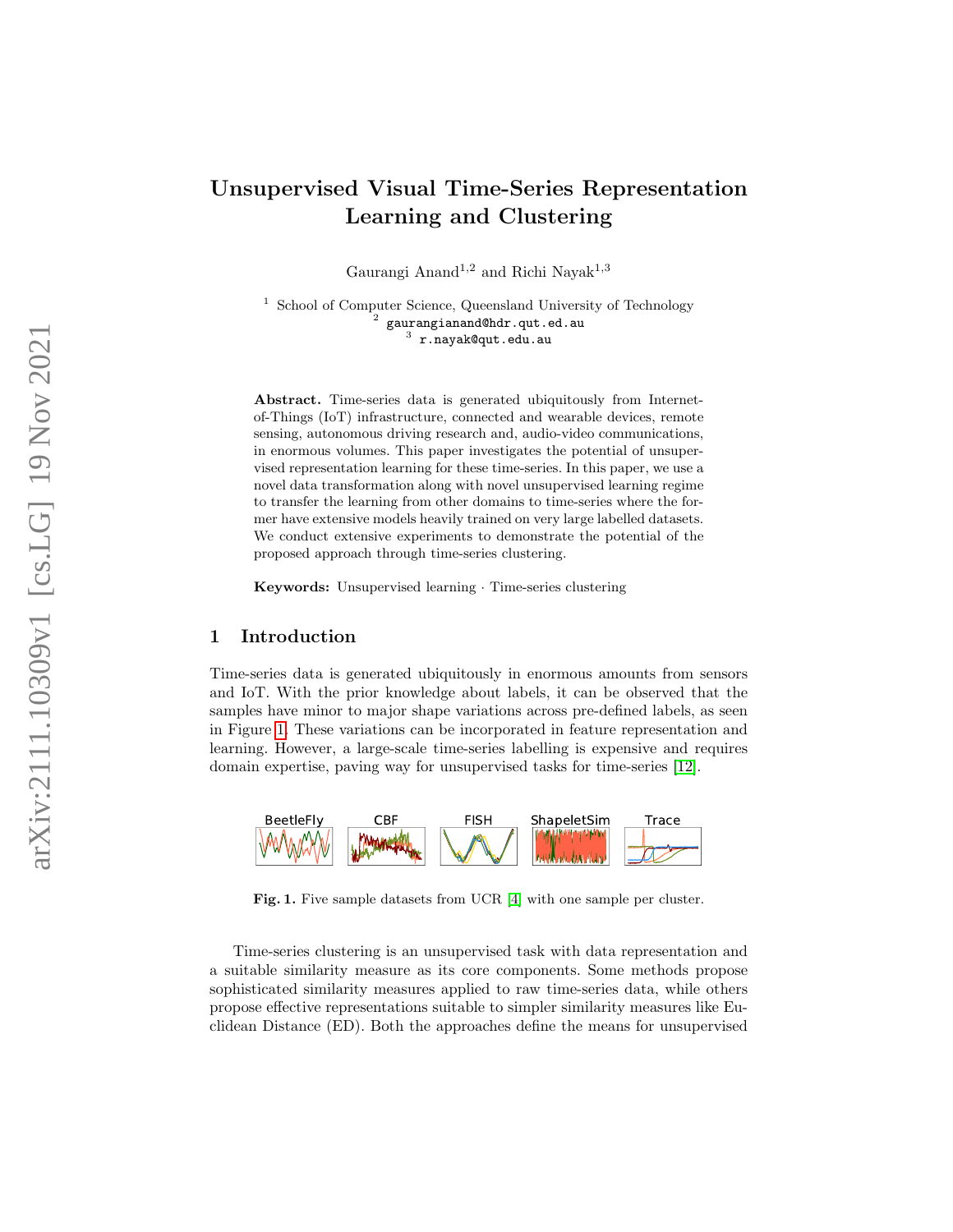# Unsupervised Visual Time-Series Representation Learning and Clustering

Gaurangi Anand<sup>1,2</sup> and Richi Nayak<sup>1,3</sup>

<sup>1</sup> School of Computer Science, Queensland University of Technology  $^2$  gaurangianand@hdr.qut.ed.au  $^3$  r.nayak@qut.edu.au

Abstract. Time-series data is generated ubiquitously from Internetof-Things (IoT) infrastructure, connected and wearable devices, remote sensing, autonomous driving research and, audio-video communications, in enormous volumes. This paper investigates the potential of unsupervised representation learning for these time-series. In this paper, we use a novel data transformation along with novel unsupervised learning regime to transfer the learning from other domains to time-series where the former have extensive models heavily trained on very large labelled datasets. We conduct extensive experiments to demonstrate the potential of the proposed approach through time-series clustering.

Keywords: Unsupervised learning · Time-series clustering

# 1 Introduction

Time-series data is generated ubiquitously in enormous amounts from sensors and IoT. With the prior knowledge about labels, it can be observed that the samples have minor to major shape variations across pre-defined labels, as seen in Figure [1.](#page-0-0) These variations can be incorporated in feature representation and learning. However, a large-scale time-series labelling is expensive and requires domain expertise, paving way for unsupervised tasks for time-series [\[12\]](#page-8-0).



<span id="page-0-0"></span>Fig. 1. Five sample datasets from UCR [\[4\]](#page-8-1) with one sample per cluster.

Time-series clustering is an unsupervised task with data representation and a suitable similarity measure as its core components. Some methods propose sophisticated similarity measures applied to raw time-series data, while others propose effective representations suitable to simpler similarity measures like Euclidean Distance (ED). Both the approaches define the means for unsupervised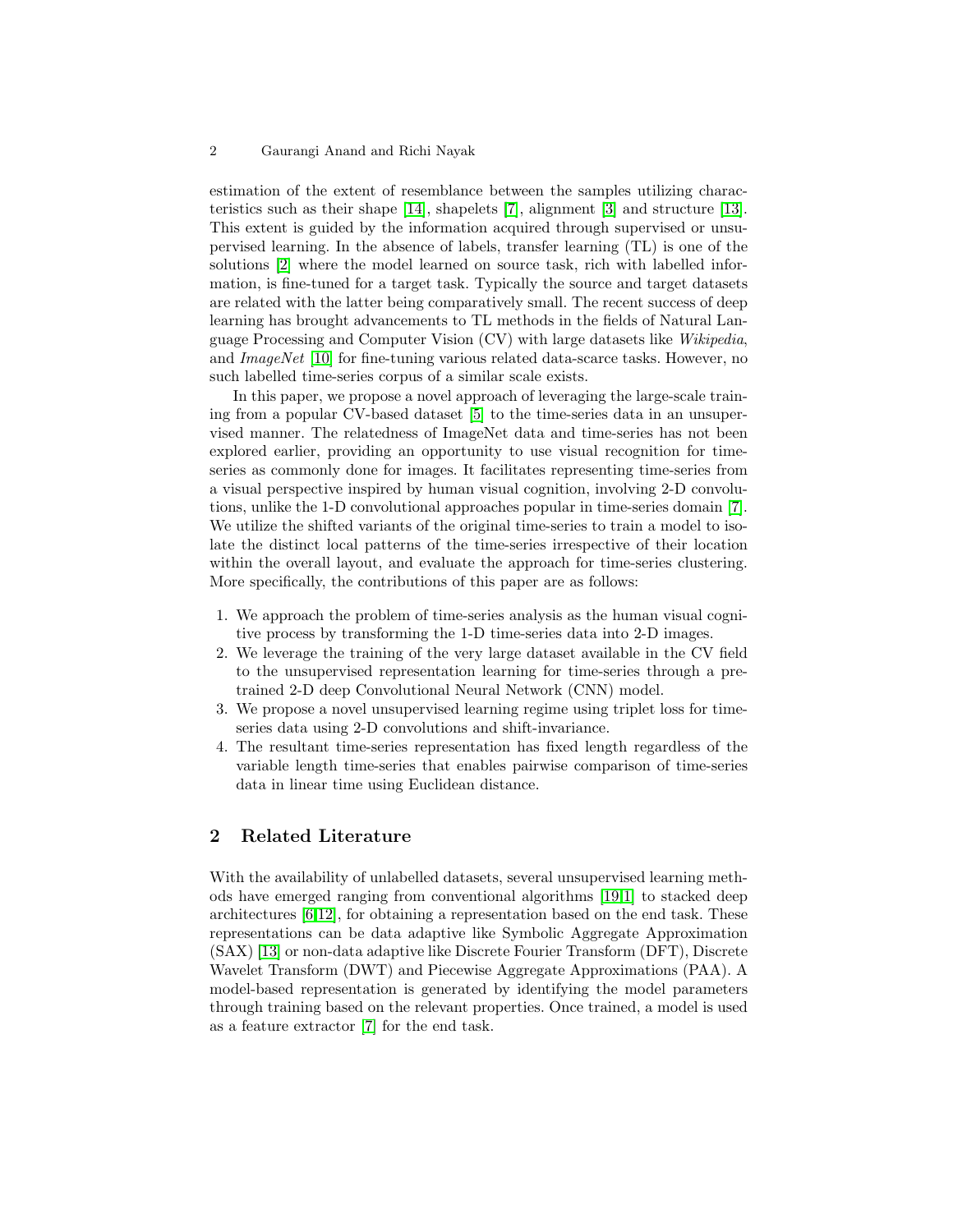#### 2 Gaurangi Anand and Richi Nayak

estimation of the extent of resemblance between the samples utilizing characteristics such as their shape [\[14\]](#page-8-2), shapelets [\[7\]](#page-8-3), alignment [\[3\]](#page-8-4) and structure [\[13\]](#page-8-5). This extent is guided by the information acquired through supervised or unsupervised learning. In the absence of labels, transfer learning (TL) is one of the solutions [\[2\]](#page-8-6) where the model learned on source task, rich with labelled information, is fine-tuned for a target task. Typically the source and target datasets are related with the latter being comparatively small. The recent success of deep learning has brought advancements to TL methods in the fields of Natural Language Processing and Computer Vision (CV) with large datasets like Wikipedia, and ImageNet [\[10\]](#page-8-7) for fine-tuning various related data-scarce tasks. However, no such labelled time-series corpus of a similar scale exists.

In this paper, we propose a novel approach of leveraging the large-scale training from a popular CV-based dataset [\[5\]](#page-8-8) to the time-series data in an unsupervised manner. The relatedness of ImageNet data and time-series has not been explored earlier, providing an opportunity to use visual recognition for timeseries as commonly done for images. It facilitates representing time-series from a visual perspective inspired by human visual cognition, involving 2-D convolutions, unlike the 1-D convolutional approaches popular in time-series domain [\[7\]](#page-8-3). We utilize the shifted variants of the original time-series to train a model to isolate the distinct local patterns of the time-series irrespective of their location within the overall layout, and evaluate the approach for time-series clustering. More specifically, the contributions of this paper are as follows:

- 1. We approach the problem of time-series analysis as the human visual cognitive process by transforming the 1-D time-series data into 2-D images.
- 2. We leverage the training of the very large dataset available in the CV field to the unsupervised representation learning for time-series through a pretrained 2-D deep Convolutional Neural Network (CNN) model.
- 3. We propose a novel unsupervised learning regime using triplet loss for timeseries data using 2-D convolutions and shift-invariance.
- 4. The resultant time-series representation has fixed length regardless of the variable length time-series that enables pairwise comparison of time-series data in linear time using Euclidean distance.

# 2 Related Literature

With the availability of unlabelled datasets, several unsupervised learning methods have emerged ranging from conventional algorithms [\[19,](#page-8-9)[1\]](#page-8-10) to stacked deep architectures [\[6](#page-8-11)[,12\]](#page-8-0), for obtaining a representation based on the end task. These representations can be data adaptive like Symbolic Aggregate Approximation (SAX) [\[13\]](#page-8-5) or non-data adaptive like Discrete Fourier Transform (DFT), Discrete Wavelet Transform (DWT) and Piecewise Aggregate Approximations (PAA). A model-based representation is generated by identifying the model parameters through training based on the relevant properties. Once trained, a model is used as a feature extractor [\[7\]](#page-8-3) for the end task.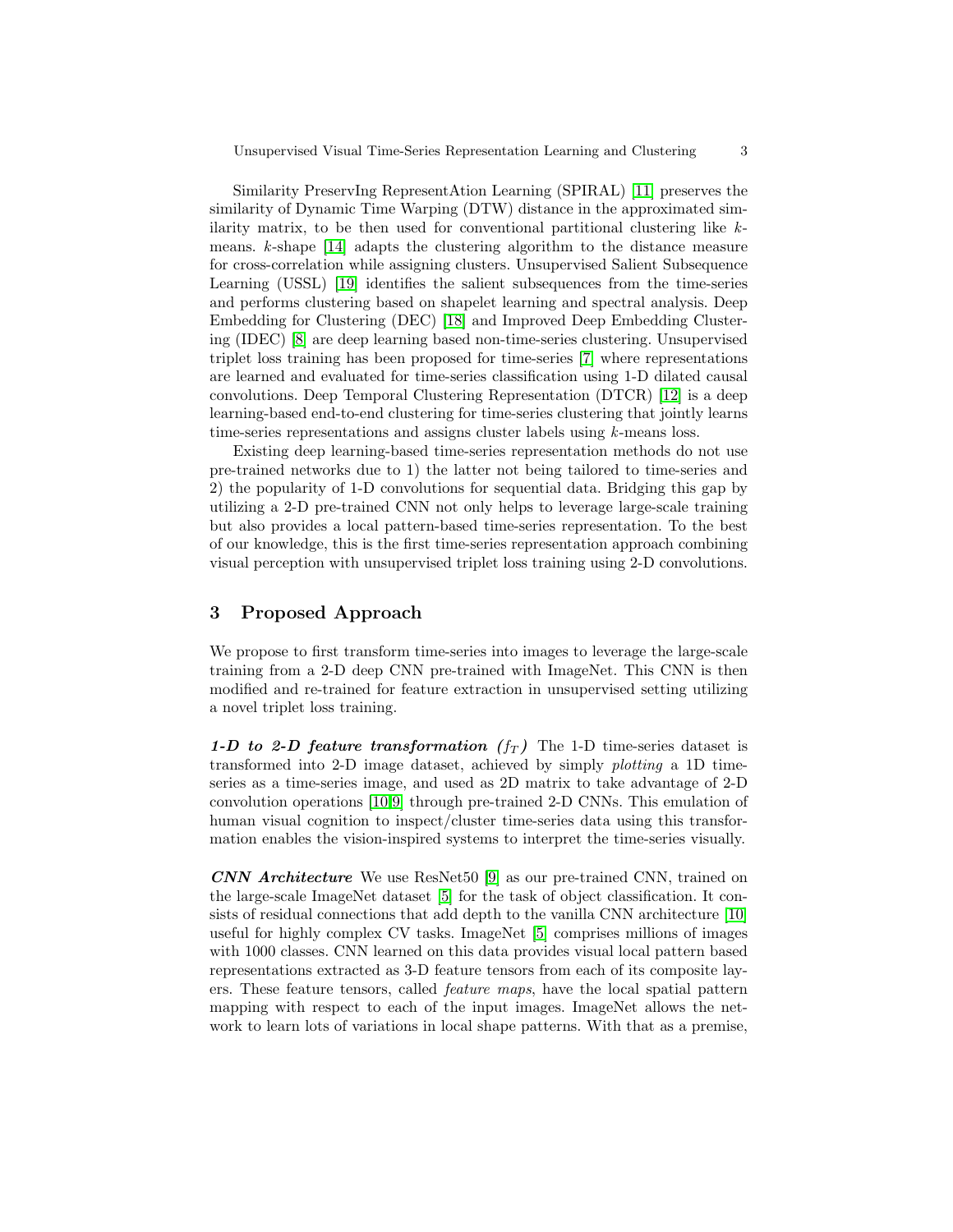Similarity PreservIng RepresentAtion Learning (SPIRAL) [\[11\]](#page-8-12) preserves the similarity of Dynamic Time Warping (DTW) distance in the approximated similarity matrix, to be then used for conventional partitional clustering like kmeans. k-shape [\[14\]](#page-8-2) adapts the clustering algorithm to the distance measure for cross-correlation while assigning clusters. Unsupervised Salient Subsequence Learning (USSL) [\[19\]](#page-8-9) identifies the salient subsequences from the time-series and performs clustering based on shapelet learning and spectral analysis. Deep Embedding for Clustering (DEC) [\[18\]](#page-8-13) and Improved Deep Embedding Clustering (IDEC) [\[8\]](#page-8-14) are deep learning based non-time-series clustering. Unsupervised triplet loss training has been proposed for time-series [\[7\]](#page-8-3) where representations are learned and evaluated for time-series classification using 1-D dilated causal convolutions. Deep Temporal Clustering Representation (DTCR) [\[12\]](#page-8-0) is a deep learning-based end-to-end clustering for time-series clustering that jointly learns time-series representations and assigns cluster labels using k-means loss.

Existing deep learning-based time-series representation methods do not use pre-trained networks due to 1) the latter not being tailored to time-series and 2) the popularity of 1-D convolutions for sequential data. Bridging this gap by utilizing a 2-D pre-trained CNN not only helps to leverage large-scale training but also provides a local pattern-based time-series representation. To the best of our knowledge, this is the first time-series representation approach combining visual perception with unsupervised triplet loss training using 2-D convolutions.

# 3 Proposed Approach

We propose to first transform time-series into images to leverage the large-scale training from a 2-D deep CNN pre-trained with ImageNet. This CNN is then modified and re-trained for feature extraction in unsupervised setting utilizing a novel triplet loss training.

1-D to 2-D feature transformation  $(f_T)$  The 1-D time-series dataset is transformed into 2-D image dataset, achieved by simply plotting a 1D timeseries as a time-series image, and used as 2D matrix to take advantage of 2-D convolution operations [\[10](#page-8-7)[,9\]](#page-8-15) through pre-trained 2-D CNNs. This emulation of human visual cognition to inspect/cluster time-series data using this transformation enables the vision-inspired systems to interpret the time-series visually.

CNN Architecture We use ResNet50 [\[9\]](#page-8-15) as our pre-trained CNN, trained on the large-scale ImageNet dataset [\[5\]](#page-8-8) for the task of object classification. It consists of residual connections that add depth to the vanilla CNN architecture [\[10\]](#page-8-7) useful for highly complex CV tasks. ImageNet [\[5\]](#page-8-8) comprises millions of images with 1000 classes. CNN learned on this data provides visual local pattern based representations extracted as 3-D feature tensors from each of its composite layers. These feature tensors, called feature maps, have the local spatial pattern mapping with respect to each of the input images. ImageNet allows the network to learn lots of variations in local shape patterns. With that as a premise,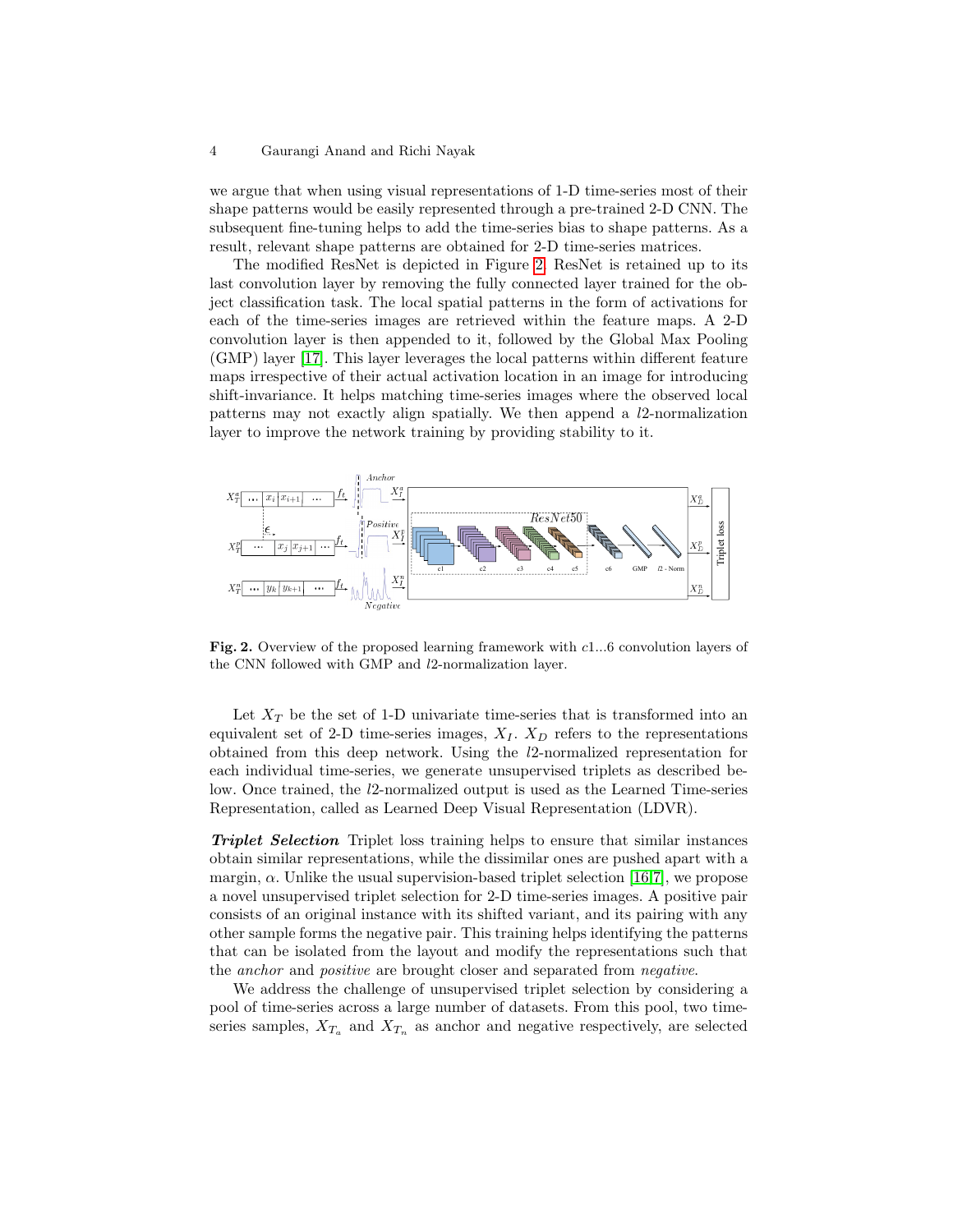#### 4 Gaurangi Anand and Richi Nayak

we argue that when using visual representations of 1-D time-series most of their shape patterns would be easily represented through a pre-trained 2-D CNN. The subsequent fine-tuning helps to add the time-series bias to shape patterns. As a result, relevant shape patterns are obtained for 2-D time-series matrices.

The modified ResNet is depicted in Figure [2.](#page-3-0) ResNet is retained up to its last convolution layer by removing the fully connected layer trained for the object classification task. The local spatial patterns in the form of activations for each of the time-series images are retrieved within the feature maps. A 2-D convolution layer is then appended to it, followed by the Global Max Pooling (GMP) layer [\[17\]](#page-8-16). This layer leverages the local patterns within different feature maps irrespective of their actual activation location in an image for introducing shift-invariance. It helps matching time-series images where the observed local patterns may not exactly align spatially. We then append a l2-normalization layer to improve the network training by providing stability to it.



<span id="page-3-0"></span>Fig. 2. Overview of the proposed learning framework with c1...6 convolution layers of the CNN followed with GMP and l2-normalization layer.

Let  $X_T$  be the set of 1-D univariate time-series that is transformed into an equivalent set of 2-D time-series images,  $X_I$ .  $X_D$  refers to the representations obtained from this deep network. Using the l2-normalized representation for each individual time-series, we generate unsupervised triplets as described below. Once trained, the l2-normalized output is used as the Learned Time-series Representation, called as Learned Deep Visual Representation (LDVR).

Triplet Selection Triplet loss training helps to ensure that similar instances obtain similar representations, while the dissimilar ones are pushed apart with a margin,  $\alpha$ . Unlike the usual supervision-based triplet selection [\[16,](#page-8-17)[7\]](#page-8-3), we propose a novel unsupervised triplet selection for 2-D time-series images. A positive pair consists of an original instance with its shifted variant, and its pairing with any other sample forms the negative pair. This training helps identifying the patterns that can be isolated from the layout and modify the representations such that the anchor and positive are brought closer and separated from negative.

We address the challenge of unsupervised triplet selection by considering a pool of time-series across a large number of datasets. From this pool, two timeseries samples,  $X_{T_a}$  and  $X_{T_n}$  as anchor and negative respectively, are selected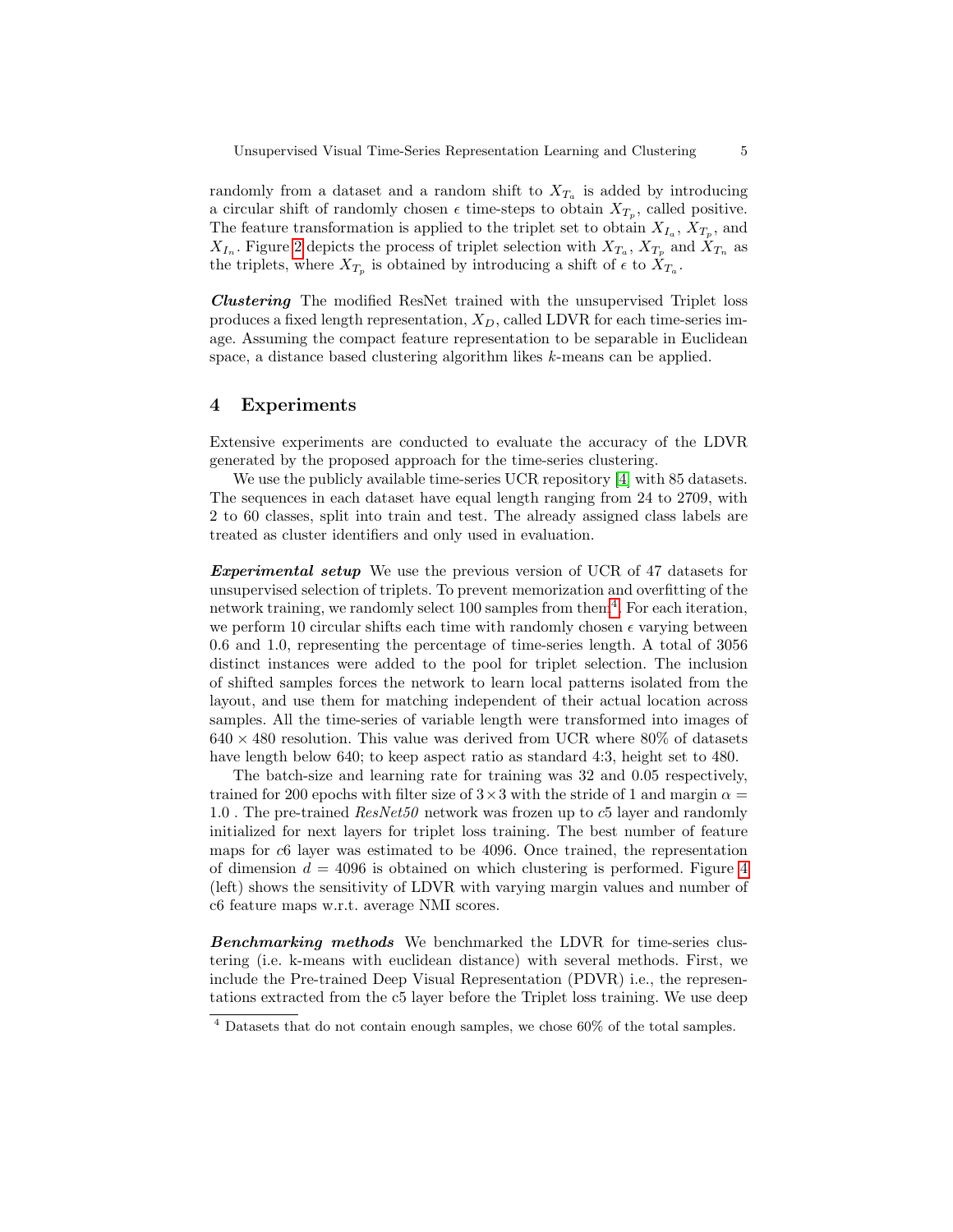randomly from a dataset and a random shift to  $X_{T_a}$  is added by introducing a circular shift of randomly chosen  $\epsilon$  time-steps to obtain  $X_{T_p}$ , called positive. The feature transformation is applied to the triplet set to obtain  $X_{I_a}, X_{T_p}$ , and  $X_{I_n}$ . Figure [2](#page-3-0) depicts the process of triplet selection with  $X_{T_a}$ ,  $X_{T_p}$  and  $X_{T_n}$  as the triplets, where  $X_{T_p}$  is obtained by introducing a shift of  $\epsilon$  to  $X_{T_a}$ .

Clustering The modified ResNet trained with the unsupervised Triplet loss produces a fixed length representation,  $X_D$ , called LDVR for each time-series image. Assuming the compact feature representation to be separable in Euclidean space, a distance based clustering algorithm likes k-means can be applied.

## 4 Experiments

Extensive experiments are conducted to evaluate the accuracy of the LDVR generated by the proposed approach for the time-series clustering.

We use the publicly available time-series UCR repository [\[4\]](#page-8-1) with 85 datasets. The sequences in each dataset have equal length ranging from 24 to 2709, with 2 to 60 classes, split into train and test. The already assigned class labels are treated as cluster identifiers and only used in evaluation.

Experimental setup We use the previous version of UCR of 47 datasets for unsupervised selection of triplets. To prevent memorization and overfitting of the network training, we randomly select 100 samples from them<sup>[4](#page-4-0)</sup>. For each iteration, we perform 10 circular shifts each time with randomly chosen  $\epsilon$  varying between 0.6 and 1.0, representing the percentage of time-series length. A total of 3056 distinct instances were added to the pool for triplet selection. The inclusion of shifted samples forces the network to learn local patterns isolated from the layout, and use them for matching independent of their actual location across samples. All the time-series of variable length were transformed into images of  $640 \times 480$  resolution. This value was derived from UCR where 80% of datasets have length below 640; to keep aspect ratio as standard 4:3, height set to 480.

The batch-size and learning rate for training was 32 and 0.05 respectively, trained for 200 epochs with filter size of  $3\times3$  with the stride of 1 and margin  $\alpha =$ 1.0 . The pre-trained ResNet50 network was frozen up to c5 layer and randomly initialized for next layers for triplet loss training. The best number of feature maps for c6 layer was estimated to be 4096. Once trained, the representation of dimension  $d = 4096$  $d = 4096$  $d = 4096$  is obtained on which clustering is performed. Figure 4 (left) shows the sensitivity of LDVR with varying margin values and number of c6 feature maps w.r.t. average NMI scores.

Benchmarking methods We benchmarked the LDVR for time-series clustering (i.e. k-means with euclidean distance) with several methods. First, we include the Pre-trained Deep Visual Representation (PDVR) i.e., the representations extracted from the c5 layer before the Triplet loss training. We use deep

<span id="page-4-0"></span> $4$  Datasets that do not contain enough samples, we chose 60% of the total samples.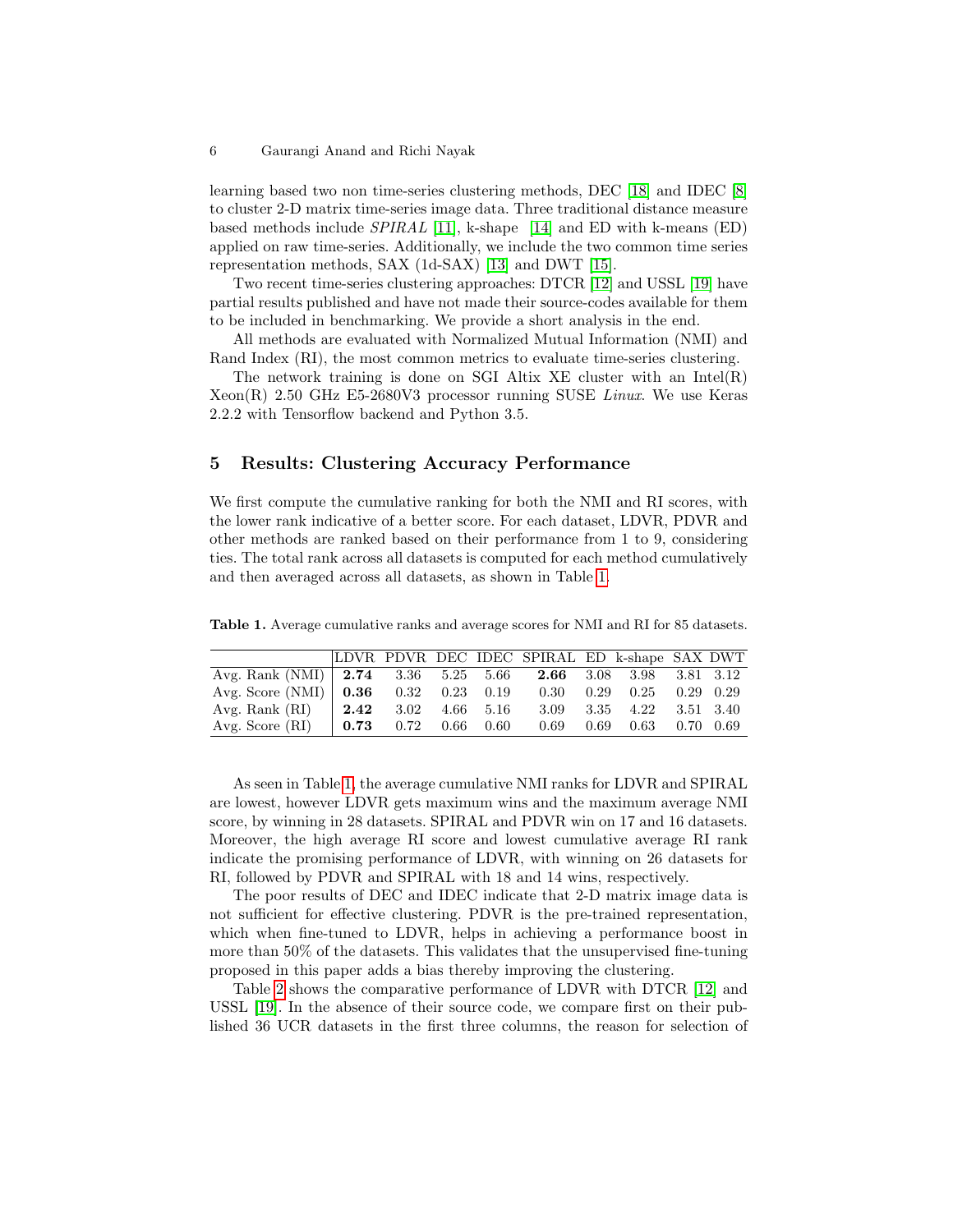learning based two non time-series clustering methods, DEC [\[18\]](#page-8-13) and IDEC [\[8\]](#page-8-14) to cluster 2-D matrix time-series image data. Three traditional distance measure based methods include  $SPIRAL$  [\[11\]](#page-8-12), k-shape [\[14\]](#page-8-2) and ED with k-means (ED) applied on raw time-series. Additionally, we include the two common time series representation methods, SAX (1d-SAX) [\[13\]](#page-8-5) and DWT [\[15\]](#page-8-18).

Two recent time-series clustering approaches: DTCR [\[12\]](#page-8-0) and USSL [\[19\]](#page-8-9) have partial results published and have not made their source-codes available for them to be included in benchmarking. We provide a short analysis in the end.

All methods are evaluated with Normalized Mutual Information (NMI) and Rand Index (RI), the most common metrics to evaluate time-series clustering.

The network training is done on SGI Altix XE cluster with an Intel $(R)$ Xeon(R) 2.50 GHz E5-2680V3 processor running SUSE Linux. We use Keras 2.2.2 with Tensorflow backend and Python 3.5.

# 5 Results: Clustering Accuracy Performance

We first compute the cumulative ranking for both the NMI and RI scores, with the lower rank indicative of a better score. For each dataset, LDVR, PDVR and other methods are ranked based on their performance from 1 to 9, considering ties. The total rank across all datasets is computed for each method cumulatively and then averaged across all datasets, as shown in Table [1.](#page-5-0)

<span id="page-5-0"></span>Table 1. Average cumulative ranks and average scores for NMI and RI for 85 datasets.

|                                                              |      |  |                              | LDVR PDVR DEC IDEC SPIRAL ED k-shape SAX DWT |                             |  |
|--------------------------------------------------------------|------|--|------------------------------|----------------------------------------------|-----------------------------|--|
| Avg. Rank (NMI) 2.74 3.36 5.25 5.66 2.66 3.08 3.98 3.81 3.12 |      |  |                              |                                              |                             |  |
| Avg. Score (NMI)   $0.36$ 0.32 0.23 0.19                     |      |  |                              | 0.30                                         | $0.29$ $0.25$ $0.29$ $0.29$ |  |
| Avg. Rank $(RI)$                                             | 2.42 |  | $3.02 \quad 4.66 \quad 5.16$ |                                              | 3.09 3.35 4.22 3.51 3.40    |  |
| Avg. Score $(RI)$                                            | 0.73 |  | $0.72$ $0.66$ $0.60$         | 0.69                                         | $0.69$ $0.63$ $0.70$ $0.69$ |  |

As seen in Table [1,](#page-5-0) the average cumulative NMI ranks for LDVR and SPIRAL are lowest, however LDVR gets maximum wins and the maximum average NMI score, by winning in 28 datasets. SPIRAL and PDVR win on 17 and 16 datasets. Moreover, the high average RI score and lowest cumulative average RI rank indicate the promising performance of LDVR, with winning on 26 datasets for RI, followed by PDVR and SPIRAL with 18 and 14 wins, respectively.

The poor results of DEC and IDEC indicate that 2-D matrix image data is not sufficient for effective clustering. PDVR is the pre-trained representation, which when fine-tuned to LDVR, helps in achieving a performance boost in more than 50% of the datasets. This validates that the unsupervised fine-tuning proposed in this paper adds a bias thereby improving the clustering.

Table [2](#page-6-0) shows the comparative performance of LDVR with DTCR [\[12\]](#page-8-0) and USSL [\[19\]](#page-8-9). In the absence of their source code, we compare first on their published 36 UCR datasets in the first three columns, the reason for selection of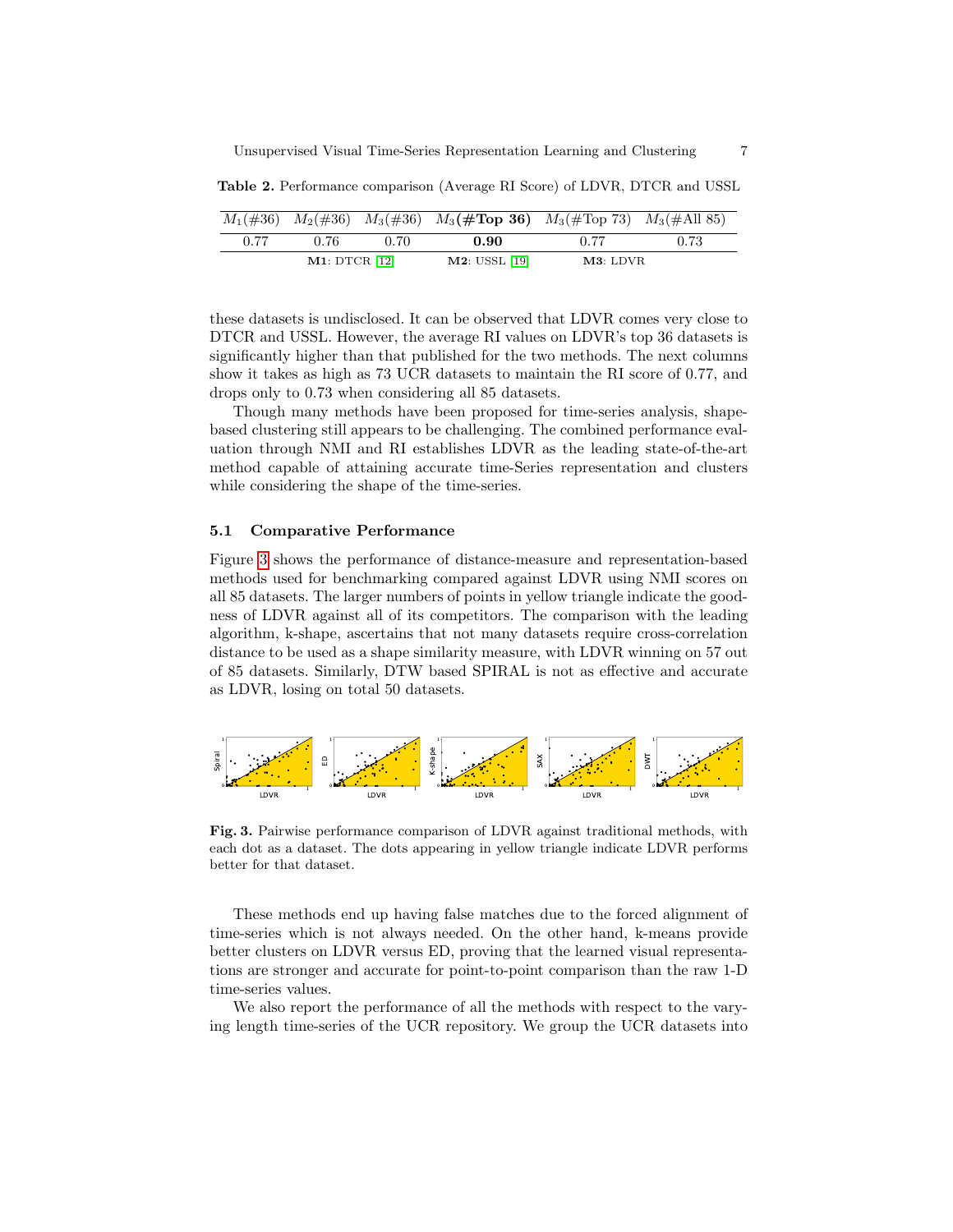|      |               |       | $M_1(\#36)$ $M_2(\#36)$ $M_3(\#36)$ $M_3(\# \text{Top }36)$ $M_3(\# \text{Top }73)$ $M_3(\# \text{All }85)$ |          |      |
|------|---------------|-------|-------------------------------------------------------------------------------------------------------------|----------|------|
| 0.77 | 0.76          | 0. ZO | 0.90                                                                                                        | 0.77     | 0.73 |
|      | M1: DTCR [12] |       | M2: USSL [19]                                                                                               | M3: LDVR |      |

<span id="page-6-0"></span>Table 2. Performance comparison (Average RI Score) of LDVR, DTCR and USSL

these datasets is undisclosed. It can be observed that LDVR comes very close to DTCR and USSL. However, the average RI values on LDVR's top 36 datasets is significantly higher than that published for the two methods. The next columns show it takes as high as 73 UCR datasets to maintain the RI score of 0.77, and drops only to 0.73 when considering all 85 datasets.

Though many methods have been proposed for time-series analysis, shapebased clustering still appears to be challenging. The combined performance evaluation through NMI and RI establishes LDVR as the leading state-of-the-art method capable of attaining accurate time-Series representation and clusters while considering the shape of the time-series.

### 5.1 Comparative Performance

Figure [3](#page-6-1) shows the performance of distance-measure and representation-based methods used for benchmarking compared against LDVR using NMI scores on all 85 datasets. The larger numbers of points in yellow triangle indicate the goodness of LDVR against all of its competitors. The comparison with the leading algorithm, k-shape, ascertains that not many datasets require cross-correlation distance to be used as a shape similarity measure, with LDVR winning on 57 out of 85 datasets. Similarly, DTW based SPIRAL is not as effective and accurate as LDVR, losing on total 50 datasets.



<span id="page-6-1"></span>Fig. 3. Pairwise performance comparison of LDVR against traditional methods, with each dot as a dataset. The dots appearing in yellow triangle indicate LDVR performs better for that dataset.

These methods end up having false matches due to the forced alignment of time-series which is not always needed. On the other hand, k-means provide better clusters on LDVR versus ED, proving that the learned visual representations are stronger and accurate for point-to-point comparison than the raw 1-D time-series values.

We also report the performance of all the methods with respect to the varying length time-series of the UCR repository. We group the UCR datasets into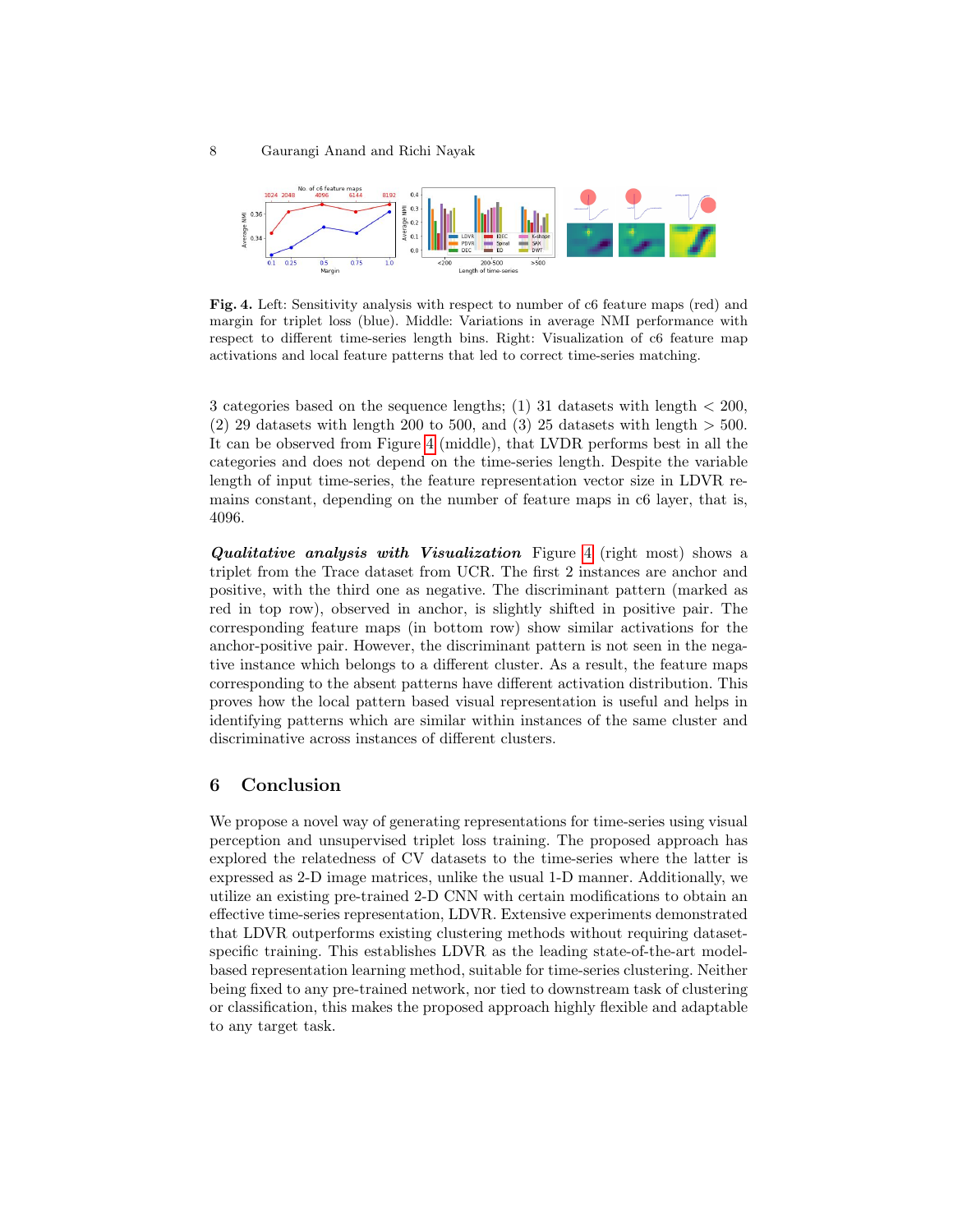

<span id="page-7-0"></span>Fig. 4. Left: Sensitivity analysis with respect to number of c6 feature maps (red) and margin for triplet loss (blue). Middle: Variations in average NMI performance with respect to different time-series length bins. Right: Visualization of c6 feature map activations and local feature patterns that led to correct time-series matching.

3 categories based on the sequence lengths; (1) 31 datasets with length < 200, (2) 29 datasets with length 200 to 500, and (3) 25 datasets with length  $>$  500. It can be observed from Figure [4](#page-7-0) (middle), that LVDR performs best in all the categories and does not depend on the time-series length. Despite the variable length of input time-series, the feature representation vector size in LDVR remains constant, depending on the number of feature maps in c6 layer, that is, 4096.

Qualitative analysis with Visualization Figure [4](#page-7-0) (right most) shows a triplet from the Trace dataset from UCR. The first 2 instances are anchor and positive, with the third one as negative. The discriminant pattern (marked as red in top row), observed in anchor, is slightly shifted in positive pair. The corresponding feature maps (in bottom row) show similar activations for the anchor-positive pair. However, the discriminant pattern is not seen in the negative instance which belongs to a different cluster. As a result, the feature maps corresponding to the absent patterns have different activation distribution. This proves how the local pattern based visual representation is useful and helps in identifying patterns which are similar within instances of the same cluster and discriminative across instances of different clusters.

# 6 Conclusion

We propose a novel way of generating representations for time-series using visual perception and unsupervised triplet loss training. The proposed approach has explored the relatedness of CV datasets to the time-series where the latter is expressed as 2-D image matrices, unlike the usual 1-D manner. Additionally, we utilize an existing pre-trained 2-D CNN with certain modifications to obtain an effective time-series representation, LDVR. Extensive experiments demonstrated that LDVR outperforms existing clustering methods without requiring datasetspecific training. This establishes LDVR as the leading state-of-the-art modelbased representation learning method, suitable for time-series clustering. Neither being fixed to any pre-trained network, nor tied to downstream task of clustering or classification, this makes the proposed approach highly flexible and adaptable to any target task.